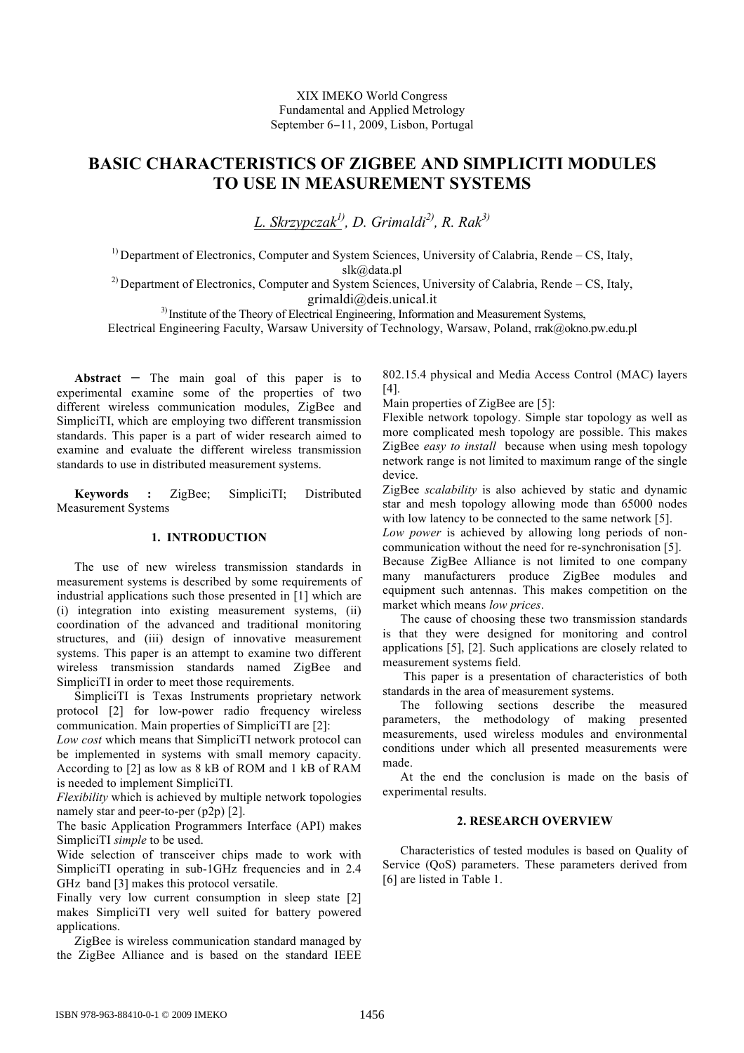# XIX IMEKO World Congress Fundamental and Applied Metrology September 6-11, 2009, Lisbon, Portugal

# **BASIC CHARACTERISTICS OF ZIGBEE AND SIMPLICITI MODULES TO USE IN MEASUREMENT SYSTEMS**

*L. Skrzypczak1) , D. Grimaldi2) , R. Rak3)*

<sup>1)</sup> Department of Electronics, Computer and System Sciences, University of Calabria, Rende – CS, Italy, slk@data.pl<br><sup>2)</sup> Department of Electronics, Computer and System Sciences, University of Calabria, Rende – CS, Italy,

grimaldi@deis.unical.it<br><sup>3)</sup>Institute of the Theory of Electrical Engineering, Information and Measurement Systems,

Electrical Engineering Faculty, Warsaw University of Technology, Warsaw, Poland, rrak@okno.pw.edu.pl

**Abstract** – The main goal of this paper is to experimental examine some of the properties of two different wireless communication modules, ZigBee and SimpliciTI, which are employing two different transmission standards. This paper is a part of wider research aimed to examine and evaluate the different wireless transmission standards to use in distributed measurement systems.

**Keywords :** ZigBee; SimpliciTI; Distributed Measurement Systems

# **1. INTRODUCTION**

The use of new wireless transmission standards in measurement systems is described by some requirements of industrial applications such those presented in [1] which are (i) integration into existing measurement systems, (ii) coordination of the advanced and traditional monitoring structures, and (iii) design of innovative measurement systems. This paper is an attempt to examine two different wireless transmission standards named ZigBee and SimpliciTI in order to meet those requirements.

SimpliciTI is Texas Instruments proprietary network protocol [2] for low-power radio frequency wireless communication. Main properties of SimpliciTI are [2]:

*Low cost* which means that SimpliciTI network protocol can be implemented in systems with small memory capacity. According to [2] as low as 8 kB of ROM and 1 kB of RAM is needed to implement SimpliciTI.

*Flexibility* which is achieved by multiple network topologies namely star and peer-to-per (p2p) [2].

The basic Application Programmers Interface (API) makes SimpliciTI *simple* to be used.

Wide selection of transceiver chips made to work with SimpliciTI operating in sub-1GHz frequencies and in 2.4 GHz band [3] makes this protocol versatile.

Finally very low current consumption in sleep state [2] makes SimpliciTI very well suited for battery powered applications.

ZigBee is wireless communication standard managed by the ZigBee Alliance and is based on the standard IEEE

802.15.4 physical and Media Access Control (MAC) layers [4].

Main properties of ZigBee are [5]:

Flexible network topology. Simple star topology as well as more complicated mesh topology are possible. This makes ZigBee *easy to install* because when using mesh topology network range is not limited to maximum range of the single device.

ZigBee *scalability* is also achieved by static and dynamic star and mesh topology allowing mode than 65000 nodes with low latency to be connected to the same network [5].

*Low power* is achieved by allowing long periods of noncommunication without the need for re-synchronisation [5].

Because ZigBee Alliance is not limited to one company many manufacturers produce ZigBee modules and equipment such antennas. This makes competition on the market which means *low prices*.

The cause of choosing these two transmission standards is that they were designed for monitoring and control applications [5], [2]. Such applications are closely related to measurement systems field.

 This paper is a presentation of characteristics of both standards in the area of measurement systems.

The following sections describe the measured parameters, the methodology of making presented measurements, used wireless modules and environmental conditions under which all presented measurements were made.

At the end the conclusion is made on the basis of experimental results.

# **2. RESEARCH OVERVIEW**

Characteristics of tested modules is based on Quality of Service (QoS) parameters. These parameters derived from [6] are listed in Table 1.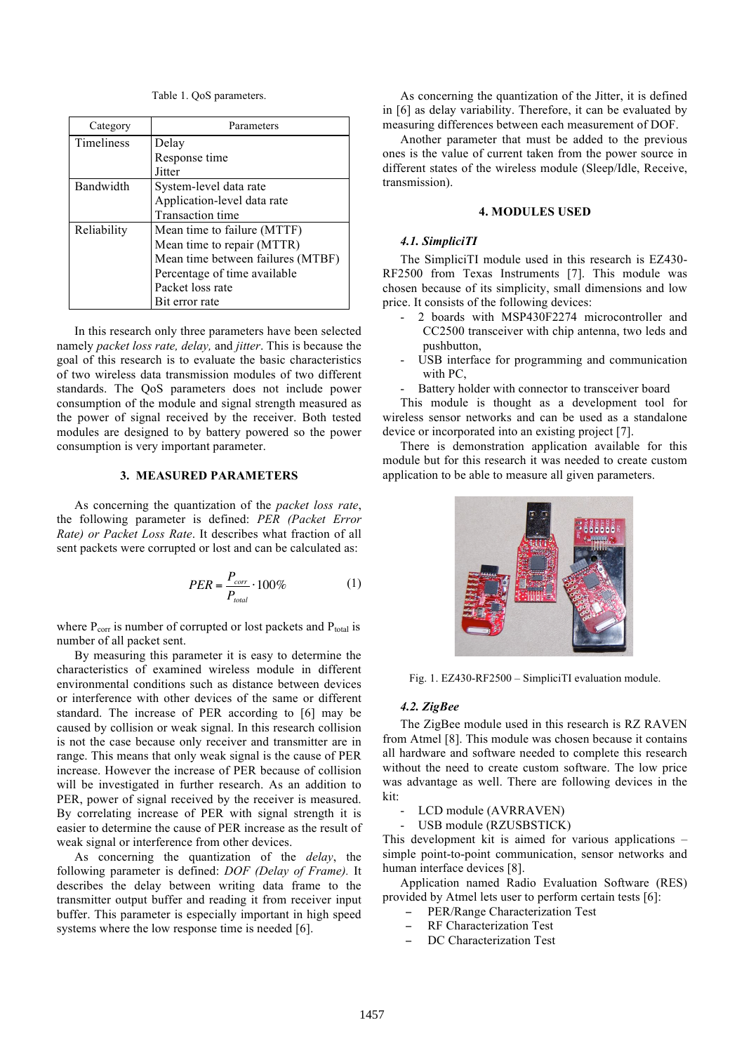Table 1. QoS parameters.

| Category    | Parameters                        |  |
|-------------|-----------------------------------|--|
| Timeliness  | Delay                             |  |
|             | Response time                     |  |
|             | Jitter                            |  |
| Bandwidth   | System-level data rate            |  |
|             | Application-level data rate       |  |
|             | <b>Transaction time</b>           |  |
| Reliability | Mean time to failure (MTTF)       |  |
|             | Mean time to repair (MTTR)        |  |
|             | Mean time between failures (MTBF) |  |
|             | Percentage of time available      |  |
|             | Packet loss rate                  |  |
|             | Bit error rate                    |  |

In this research only three parameters have been selected namely *packet loss rate, delay,* and *jitter*. This is because the goal of this research is to evaluate the basic characteristics of two wireless data transmission modules of two different standards. The QoS parameters does not include power consumption of the module and signal strength measured as the power of signal received by the receiver. Both tested modules are designed to by battery powered so the power consumption is very important parameter.

## **3. MEASURED PARAMETERS**

As concerning the quantization of the *packet loss rate*, the following parameter is defined: *PER (Packet Error Rate) or Packet Loss Rate*. It describes what fraction of all sent packets were corrupted or lost and can be calculated as:

$$
PER = \frac{P_{corr}}{P_{total}} \cdot 100\%
$$
 (1)

where  $P_{\text{corr}}$  is number of corrupted or lost packets and  $P_{\text{total}}$  is number of all packet sent.

! By measuring this parameter it is easy to determine the characteristics of examined wireless module in different environmental conditions such as distance between devices or interference with other devices of the same or different standard. The increase of PER according to [6] may be caused by collision or weak signal. In this research collision is not the case because only receiver and transmitter are in range. This means that only weak signal is the cause of PER increase. However the increase of PER because of collision will be investigated in further research. As an addition to PER, power of signal received by the receiver is measured. By correlating increase of PER with signal strength it is easier to determine the cause of PER increase as the result of weak signal or interference from other devices.

As concerning the quantization of the *delay*, the following parameter is defined: *DOF (Delay of Frame).* It describes the delay between writing data frame to the transmitter output buffer and reading it from receiver input buffer. This parameter is especially important in high speed systems where the low response time is needed [6].

As concerning the quantization of the Jitter, it is defined in [6] as delay variability. Therefore, it can be evaluated by measuring differences between each measurement of DOF.

Another parameter that must be added to the previous ones is the value of current taken from the power source in different states of the wireless module (Sleep/Idle, Receive, transmission).

#### **4. MODULES USED**

#### *4.1. SimpliciTI*

The SimpliciTI module used in this research is EZ430- RF2500 from Texas Instruments [7]. This module was chosen because of its simplicity, small dimensions and low price. It consists of the following devices:

- 2 boards with MSP430F2274 microcontroller and CC2500 transceiver with chip antenna, two leds and pushbutton,
- USB interface for programming and communication with PC,
- Battery holder with connector to transceiver board

This module is thought as a development tool for wireless sensor networks and can be used as a standalone device or incorporated into an existing project [7].

There is demonstration application available for this module but for this research it was needed to create custom application to be able to measure all given parameters.



Fig. 1. EZ430-RF2500 – SimpliciTI evaluation module.

## *4.2. ZigBee*

The ZigBee module used in this research is RZ RAVEN from Atmel [8]. This module was chosen because it contains all hardware and software needed to complete this research without the need to create custom software. The low price was advantage as well. There are following devices in the kit:

- LCD module (AVRRAVEN)
- USB module (RZUSBSTICK)

This development kit is aimed for various applications – simple point-to-point communication, sensor networks and human interface devices [8].

Application named Radio Evaluation Software (RES) provided by Atmel lets user to perform certain tests [6]:

- ! PER/Range Characterization Test
- ! RF Characterization Test
- DC Characterization Test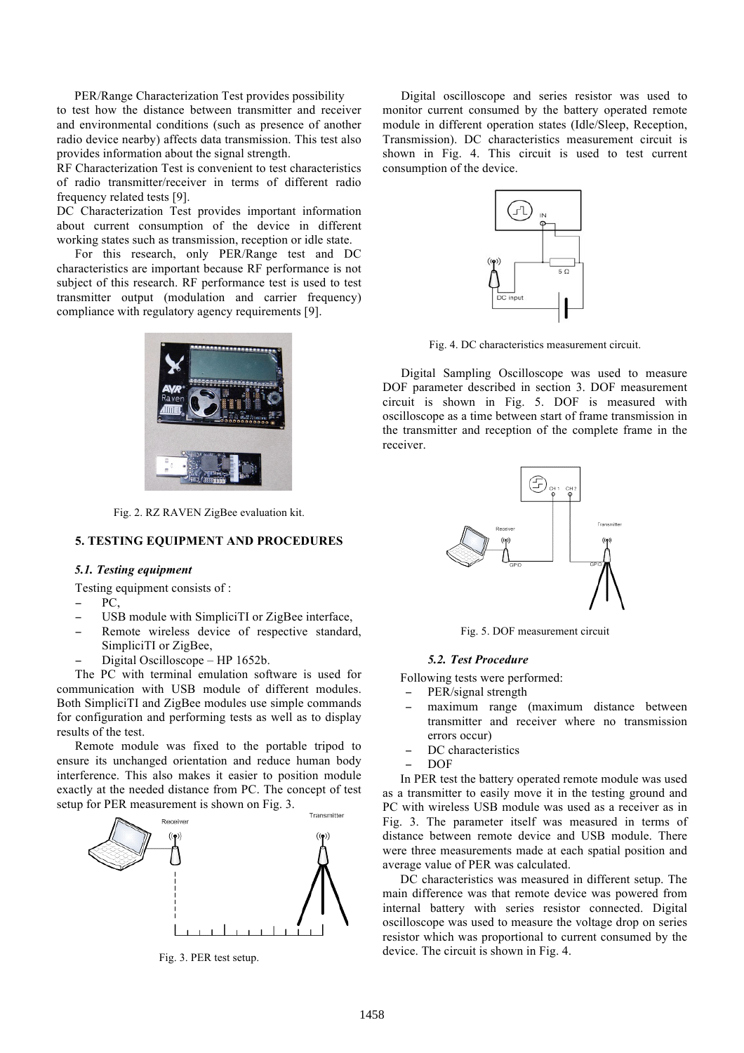PER/Range Characterization Test provides possibility to test how the distance between transmitter and receiver and environmental conditions (such as presence of another radio device nearby) affects data transmission. This test also provides information about the signal strength.

RF Characterization Test is convenient to test characteristics of radio transmitter/receiver in terms of different radio frequency related tests [9].

DC Characterization Test provides important information about current consumption of the device in different working states such as transmission, reception or idle state.

For this research, only PER/Range test and DC characteristics are important because RF performance is not subject of this research. RF performance test is used to test transmitter output (modulation and carrier frequency) compliance with regulatory agency requirements [9].



Fig. 2. RZ RAVEN ZigBee evaluation kit.

# **5. TESTING EQUIPMENT AND PROCEDURES**

#### *5.1. Testing equipment*

Testing equipment consists of :

- PC.
- ! USB module with SimpliciTI or ZigBee interface,
- Remote wireless device of respective standard, SimpliciTI or ZigBee,
- ! Digital Oscilloscope HP 1652b.

The PC with terminal emulation software is used for communication with USB module of different modules. Both SimpliciTI and ZigBee modules use simple commands for configuration and performing tests as well as to display results of the test.

Remote module was fixed to the portable tripod to ensure its unchanged orientation and reduce human body interference. This also makes it easier to position module exactly at the needed distance from PC. The concept of test setup for PER measurement is shown on Fig. 3.



Fig. 3. PER test setup.

Digital oscilloscope and series resistor was used to monitor current consumed by the battery operated remote module in different operation states (Idle/Sleep, Reception, Transmission). DC characteristics measurement circuit is shown in Fig. 4. This circuit is used to test current consumption of the device.



Fig. 4. DC characteristics measurement circuit.

Digital Sampling Oscilloscope was used to measure DOF parameter described in section 3. DOF measurement circuit is shown in Fig. 5. DOF is measured with oscilloscope as a time between start of frame transmission in the transmitter and reception of the complete frame in the receiver.



Fig. 5. DOF measurement circuit

#### *5.2. Test Procedure*

Following tests were performed:

- PER/signal strength
- ! maximum range (maximum distance between transmitter and receiver where no transmission errors occur)
- DC characteristics
- ! DOF

In PER test the battery operated remote module was used as a transmitter to easily move it in the testing ground and PC with wireless USB module was used as a receiver as in Fig. 3. The parameter itself was measured in terms of distance between remote device and USB module. There were three measurements made at each spatial position and average value of PER was calculated.

DC characteristics was measured in different setup. The main difference was that remote device was powered from internal battery with series resistor connected. Digital oscilloscope was used to measure the voltage drop on series resistor which was proportional to current consumed by the device. The circuit is shown in Fig. 4.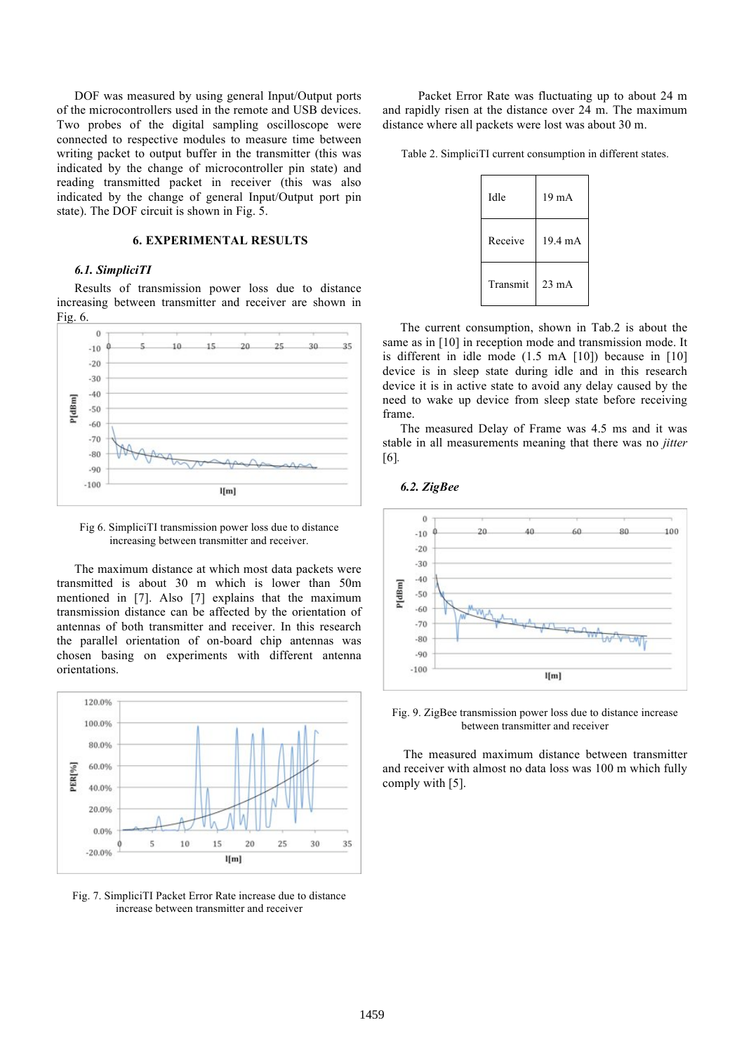DOF was measured by using general Input/Output ports of the microcontrollers used in the remote and USB devices. Two probes of the digital sampling oscilloscope were connected to respective modules to measure time between writing packet to output buffer in the transmitter (this was indicated by the change of microcontroller pin state) and reading transmitted packet in receiver (this was also indicated by the change of general Input/Output port pin state). The DOF circuit is shown in Fig. 5.

#### **6. EXPERIMENTAL RESULTS**

#### *6.1. SimpliciTI*

Results of transmission power loss due to distance increasing between transmitter and receiver are shown in Fig. 6.



Fig 6. SimpliciTI transmission power loss due to distance increasing between transmitter and receiver.

The maximum distance at which most data packets were transmitted is about 30 m which is lower than 50m mentioned in [7]. Also [7] explains that the maximum transmission distance can be affected by the orientation of antennas of both transmitter and receiver. In this research the parallel orientation of on-board chip antennas was chosen basing on experiments with different antenna orientations.



Fig. 7. SimpliciTI Packet Error Rate increase due to distance increase between transmitter and receiver

Packet Error Rate was fluctuating up to about 24 m and rapidly risen at the distance over 24 m. The maximum distance where all packets were lost was about 30 m.

Table 2. SimpliciTI current consumption in different states.

| Idle     | 19 <sub>m</sub> A |
|----------|-------------------|
| Receive  | 19.4 mA           |
| Transmit | $23 \text{ mA}$   |

The current consumption, shown in Tab.2 is about the same as in [10] in reception mode and transmission mode. It is different in idle mode (1.5 mA [10]) because in [10] device is in sleep state during idle and in this research device it is in active state to avoid any delay caused by the need to wake up device from sleep state before receiving frame.

The measured Delay of Frame was 4.5 ms and it was stable in all measurements meaning that there was no *jitter*  [6]*.*

*6.2. ZigBee*



Fig. 9. ZigBee transmission power loss due to distance increase between transmitter and receiver

 The measured maximum distance between transmitter and receiver with almost no data loss was 100 m which fully comply with [5].